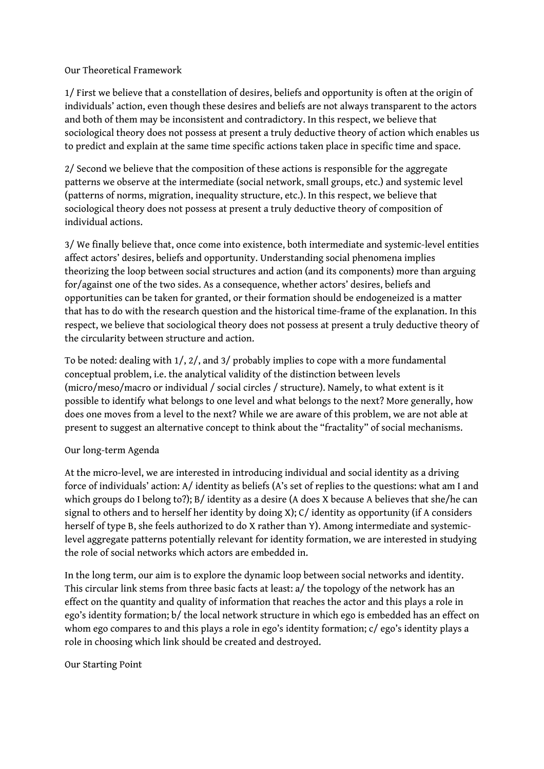Our Theoretical Framework

1/ First we believe that a constellation of desires, beliefs and opportunity is often at the origin of individuals' action, even though these desires and beliefs are not always transparent to the actors and both of them may be inconsistent and contradictory. In this respect, we believe that sociological theory does not possess at present a truly deductive theory of action which enables us to predict and explain at the same time specific actions taken place in specific time and space.

2/ Second we believe that the composition of these actions is responsible for the aggregate patterns we observe at the intermediate (social network, small groups, etc.) and systemic level (patterns of norms, migration, inequality structure, etc.). In this respect, we believe that sociological theory does not possess at present a truly deductive theory of composition of individual actions.

3/ We finally believe that, once come into existence, both intermediate and systemic-level entities affect actors' desires, beliefs and opportunity. Understanding social phenomena implies theorizing the loop between social structures and action (and its components) more than arguing for/against one of the two sides. As a consequence, whether actors' desires, beliefs and opportunities can be taken for granted, or their formation should be endogeneized is a matter that has to do with the research question and the historical time-frame of the explanation. In this respect, we believe that sociological theory does not possess at present a truly deductive theory of the circularity between structure and action.

To be noted: dealing with 1/, 2/, and 3/ probably implies to cope with a more fundamental conceptual problem, i.e. the analytical validity of the distinction between levels (micro/meso/macro or individual / social circles / structure). Namely, to what extent is it possible to identify what belongs to one level and what belongs to the next? More generally, how does one moves from a level to the next? While we are aware of this problem, we are not able at present to suggest an alternative concept to think about the "fractality" of social mechanisms.

## Our long-term Agenda

At the micro-level, we are interested in introducing individual and social identity as a driving force of individuals' action: A/ identity as beliefs (A's set of replies to the questions: what am I and which groups do I belong to?); B/ identity as a desire (A does X because A believes that she/he can signal to others and to herself her identity by doing X); C/ identity as opportunity (if A considers herself of type B, she feels authorized to do X rather than Y). Among intermediate and systemiclevel aggregate patterns potentially relevant for identity formation, we are interested in studying the role of social networks which actors are embedded in.

In the long term, our aim is to explore the dynamic loop between social networks and identity. This circular link stems from three basic facts at least: a/ the topology of the network has an effect on the quantity and quality of information that reaches the actor and this plays a role in ego's identity formation; b/ the local network structure in which ego is embedded has an effect on whom ego compares to and this plays a role in ego's identity formation; c/ ego's identity plays a role in choosing which link should be created and destroyed.

## Our Starting Point